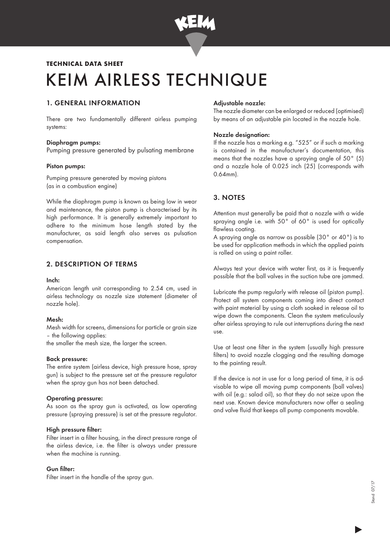

# KEIM AIRLESS TECHNIQUE TECHNICAL DATA SHEET

## 1. GENERAL INFORMATION

There are two fundamentally different airless pumping systems:

#### Diaphragm pumps:

Pumping pressure generated by pulsating membrane

#### Piston pumps:

Pumping pressure generated by moving pistons (as in a combustion engine)

While the diaphragm pump is known as being low in wear and maintenance, the piston pump is characterised by its high performance. It is generally extremely important to adhere to the minimum hose length stated by the manufacturer, as said length also serves as pulsation compensation.

## 2. DESCRIPTION OF TERMS

#### Inch:

American length unit corresponding to 2.54 cm, used in airless technology as nozzle size statement (diameter of nozzle hole).

#### Mesh:

Mesh width for screens, dimensions for particle or grain size – the following applies:

the smaller the mesh size, the larger the screen.

#### Back pressure:

The entire system (airless device, high pressure hose, spray gun) is subject to the pressure set at the pressure regulator when the spray gun has not been detached.

#### Operating pressure:

As soon as the spray gun is activated, as low operating pressure (spraying pressure) is set at the pressure regulator.

#### High pressure filter:

Filter insert in a filter housing, in the direct pressure range of the airless device, i.e. the filter is always under pressure when the machine is running.

#### Gun filter:

Filter insert in the handle of the spray gun.

## Adjustable nozzle:

The nozzle diameter can be enlarged or reduced (optimised) by means of an adjustable pin located in the nozzle hole.

## Nozzle designation:

If the nozzle has a marking e.g. "525" or if such a marking is contained in the manufacturer's documentation, this means that the nozzles have a spraying angle of 50° (5) and a nozzle hole of 0.025 inch (25) (corresponds with 0.64mm).

## 3. NOTES

Attention must generally be paid that a nozzle with a wide spraying angle i.e. with 50° of 60° is used for optically flawless coating.

A spraying angle as narrow as possible (30° or 40°) is to be used for application methods in which the applied paints is rolled on using a paint roller.

Always test your device with water first, as it is frequently possible that the ball valves in the suction tube are jammed.

Lubricate the pump regularly with release oil (piston pump). Protect all system components coming into direct contact with paint material by using a cloth soaked in release oil to wipe down the components. Clean the system meticulously after airless spraying to rule out interruptions during the next use.

Use at least one filter in the system (usually high pressure filters) to avoid nozzle clogging and the resulting damage to the painting result.

If the device is not in use for a long period of time, it is advisable to wipe all moving pump components (ball valves) with oil (e.g.: salad oil), so that they do not seize upon the next use. Known device manufacturers now offer a sealing and valve fluid that keeps all pump components movable.